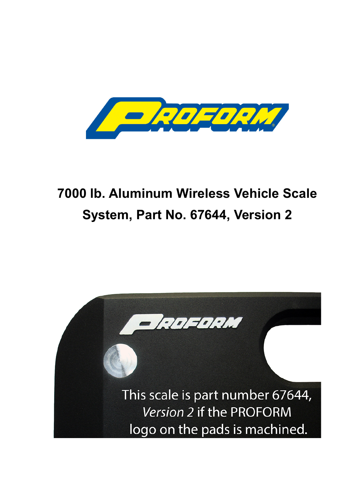

# **7000 lb. Aluminum Wireless Vehicle Scale System, Part No. 67644, Version 2**

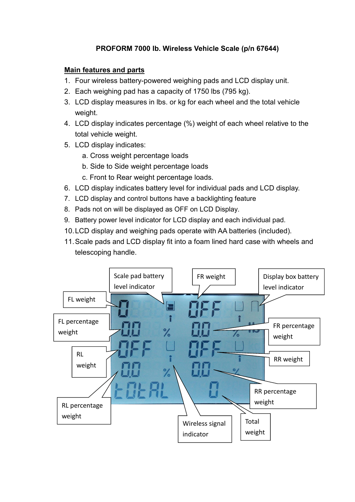## **PROFORM 7000 lb. Wireless Vehicle Scale (p/n 67644)**

#### **Main features and parts**

- 1. Four wireless battery-powered weighing pads and LCD display unit.
- 2. Each weighing pad has a capacity of 1750 lbs (795 kg).
- 3. LCD display measures in lbs. or kg for each wheel and the total vehicle weight.
- 4. LCD display indicates percentage (%) weight of each wheel relative to the total vehicle weight.
- 5. LCD display indicates:
	- a. Cross weight percentage loads
	- b. Side to Side weight percentage loads
	- c. Front to Rear weight percentage loads.
- 6. LCD display indicates battery level for individual pads and LCD display.
- 7. LCD display and control buttons have a backlighting feature
- 8. Pads not on will be displayed as OFF on LCD Display.
- 9. Battery power level indicator for LCD display and each individual pad.
- 10.LCD display and weighing pads operate with AA batteries (included).
- 11.Scale pads and LCD display fit into a foam lined hard case with wheels and telescoping handle.

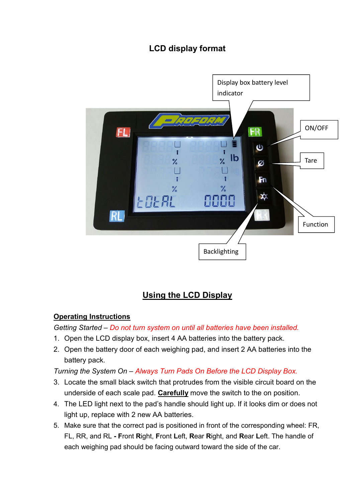## **LCD display format**



## **Using the LCD Display**

### **Operating Instructions**

*Getting Started – Do not turn system on until all batteries have been installed.*

- 1. Open the LCD display box, insert 4 AA batteries into the battery pack.
- 2. Open the battery door of each weighing pad, and insert 2 AA batteries into the battery pack.

*Turning the System On – Always Turn Pads On Before the LCD Display Box.*

- 3. Locate the small black switch that protrudes from the visible circuit board on the underside of each scale pad. **Carefully** move the switch to the on position.
- 4. The LED light next to the pad's handle should light up. If it looks dim or does not light up, replace with 2 new AA batteries.
- 5. Make sure that the correct pad is positioned in front of the corresponding wheel: FR, FL, RR, and RL **- F**ront **R**ight, **F**ront **L**eft, **R**ear **R**ight, and **R**ear **L**eft. The handle of each weighing pad should be facing outward toward the side of the car.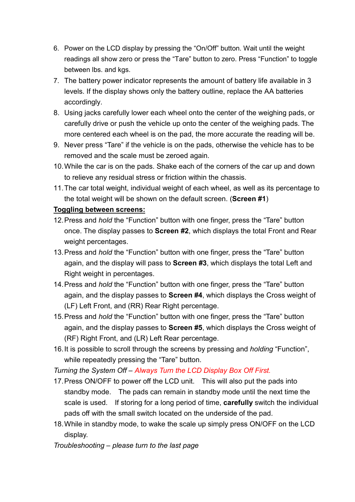- 6. Power on the LCD display by pressing the "On/Off" button. Wait until the weight readings all show zero or press the "Tare" button to zero. Press "Function" to toggle between lbs. and kgs.
- 7. The battery power indicator represents the amount of battery life available in 3 levels. If the display shows only the battery outline, replace the AA batteries accordingly.
- 8. Using jacks carefully lower each wheel onto the center of the weighing pads, or carefully drive or push the vehicle up onto the center of the weighing pads. The more centered each wheel is on the pad, the more accurate the reading will be.
- 9. Never press "Tare" if the vehicle is on the pads, otherwise the vehicle has to be removed and the scale must be zeroed again.
- 10.While the car is on the pads. Shake each of the corners of the car up and down to relieve any residual stress or friction within the chassis.
- 11.The car total weight, individual weight of each wheel, as well as its percentage to the total weight will be shown on the default screen. (**Screen #1**)

### **Toggling between screens:**

- 12.Press and *hold* the "Function" button with one finger, press the "Tare" button once. The display passes to **Screen #2**, which displays the total Front and Rear weight percentages.
- 13.Press and *hold* the "Function" button with one finger, press the "Tare" button again, and the display will pass to **Screen #3**, which displays the total Left and Right weight in percentages.
- 14.Press and *hold* the "Function" button with one finger, press the "Tare" button again, and the display passes to **Screen #4**, which displays the Cross weight of (LF) Left Front, and (RR) Rear Right percentage.
- 15.Press and *hold* the "Function" button with one finger, press the "Tare" button again, and the display passes to **Screen #5**, which displays the Cross weight of (RF) Right Front, and (LR) Left Rear percentage.
- 16.It is possible to scroll through the screens by pressing and *holding* "Function", while repeatedly pressing the "Tare" button.

*Turning the System Off – Always Turn the LCD Display Box Off First.*

- 17.Press ON/OFF to power off the LCD unit. This will also put the pads into standby mode. The pads can remain in standby mode until the next time the scale is used. If storing for a long period of time, **carefully** switch the individual pads off with the small switch located on the underside of the pad.
- 18.While in standby mode, to wake the scale up simply press ON/OFF on the LCD display.

*Troubleshooting – please turn to the last page*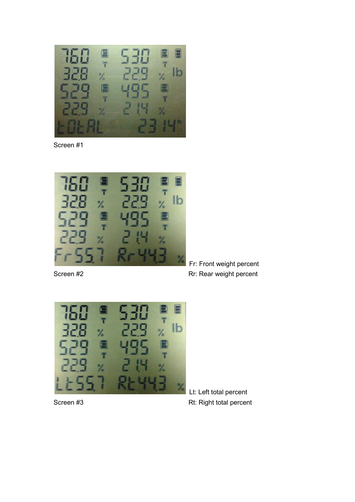

Screen #1



Fr: Front weight percent Screen #2 **Rr: Rear weight percent** 



Lt: Left total percent Screen #3 Rt: Right total percent